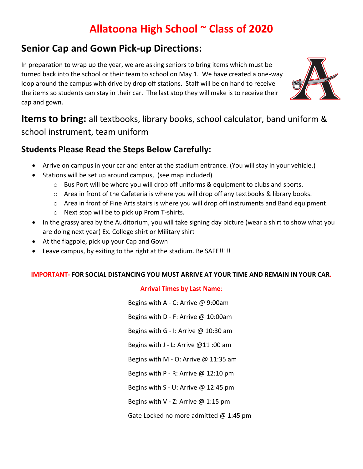# **Allatoona High School ~ Class of 2020**

## **Senior Cap and Gown Pick-up Directions:**

In preparation to wrap up the year, we are asking seniors to bring items which must be turned back into the school or their team to school on May 1. We have created a one-way loop around the campus with drive by drop off stations. Staff will be on hand to receive the items so students can stay in their car. The last stop they will make is to receive their cap and gown.



**Items to bring:** all textbooks, library books, school calculator, band uniform & school instrument, team uniform

### **Students Please Read the Steps Below Carefully:**

- Arrive on campus in your car and enter at the stadium entrance. (You will stay in your vehicle.)
- Stations will be set up around campus, (see map included)
	- o Bus Port will be where you will drop off uniforms & equipment to clubs and sports.
	- $\circ$  Area in front of the Cafeteria is where you will drop off any textbooks & library books.
	- $\circ$  Area in front of Fine Arts stairs is where you will drop off instruments and Band equipment.
	- o Next stop will be to pick up Prom T-shirts.
- In the grassy area by the Auditorium, you will take signing day picture (wear a shirt to show what you are doing next year) Ex. College shirt or Military shirt
- At the flagpole, pick up your Cap and Gown
- Leave campus, by exiting to the right at the stadium. Be SAFE!!!!!

#### **IMPORTANT- FOR SOCIAL DISTANCING YOU MUST ARRIVE AT YOUR TIME AND REMAIN IN YOUR CAR.**

### **Arrival Times by Last Name**:

Begins with A - C: Arrive @ 9:00am Begins with D - F: Arrive @ 10:00am Begins with G - I: Arrive @ 10:30 am Begins with J - L: Arrive @11 :00 am Begins with M - O: Arrive  $\omega$  11:35 am Begins with P - R: Arrive @ 12:10 pm Begins with S - U: Arrive @ 12:45 pm Begins with V - Z: Arrive  $@$  1:15 pm Gate Locked no more admitted @ 1:45 pm